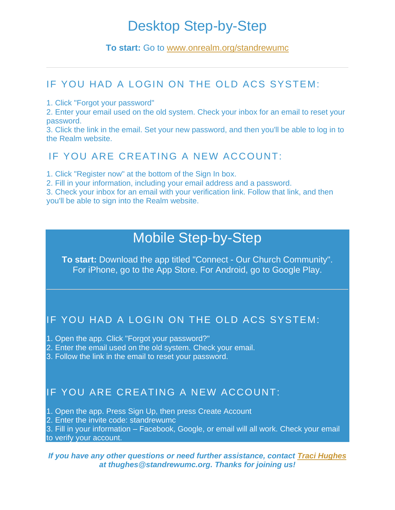# Desktop Step-by-Step

### **To start:** Go to [www.onrealm.org/standrewumc](http://www.onrealm.org/standrewumc)

### IF YOU HAD A LOGIN ON THE OLD ACS SYSTEM:

1. Click "Forgot your password"

2. Enter your email used on the old system. Check your inbox for an email to reset your password.

3. Click the link in the email. Set your new password, and then you'll be able to log in to the Realm website.

## IF YOU ARE CREATING A NEW ACCOUNT:

1. Click "Register now" at the bottom of the Sign In box.

2. Fill in your information, including your email address and a password.

3. Check your inbox for an email with your verification link. Follow that link, and then you'll be able to sign into the Realm website.

## Mobile Step-by-Step

**To start:** Download the app titled "Connect - Our Church Community". For iPhone, go to the App Store. For Android, go to Google Play.

## IF YOU HAD A LOGIN ON THE OLD ACS SYSTEM:

1. Open the app. Click "Forgot your password?"

- 2. Enter the email used on the old system. Check your email.
- 3. Follow the link in the email to reset your password.

## IF YOU ARE CREATING A NEW ACCOUNT:

- 1. Open the app. Press Sign Up, then press Create Account
- 2. Enter the invite code: standrewumc

3. Fill in your information – Facebook, Google, or email will all work. Check your email to verify your account.

#### *If you have any other questions or need further assistance, contact Traci Hughes at thughes@standrewumc.org. Thanks for joining us!*